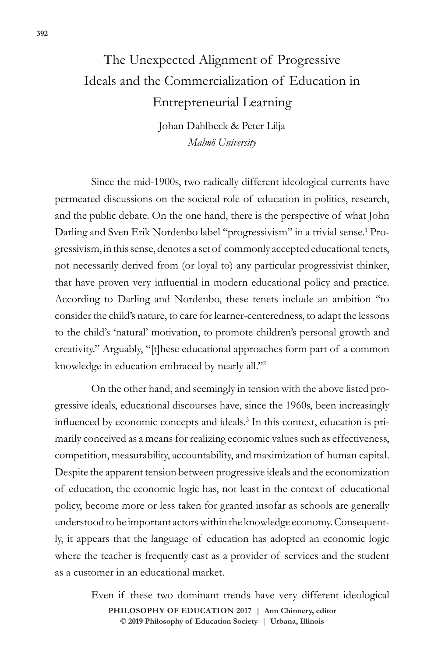# The Unexpected Alignment of Progressive Ideals and the Commercialization of Education in Entrepreneurial Learning

Johan Dahlbeck & Peter Lilja *Malmö University*

Since the mid-1900s, two radically different ideological currents have permeated discussions on the societal role of education in politics, research, and the public debate. On the one hand, there is the perspective of what John Darling and Sven Erik Nordenbo label "progressivism" in a trivial sense.<sup>1</sup> Progressivism, in this sense, denotes a set of commonly accepted educational tenets, not necessarily derived from (or loyal to) any particular progressivist thinker, that have proven very influential in modern educational policy and practice. According to Darling and Nordenbo, these tenets include an ambition "to consider the child's nature, to care for learner-centeredness, to adapt the lessons to the child's 'natural' motivation, to promote children's personal growth and creativity." Arguably, "[t]hese educational approaches form part of a common knowledge in education embraced by nearly all."2

On the other hand, and seemingly in tension with the above listed progressive ideals, educational discourses have, since the 1960s, been increasingly influenced by economic concepts and ideals.<sup>3</sup> In this context, education is primarily conceived as a means for realizing economic values such as effectiveness, competition, measurability, accountability, and maximization of human capital. Despite the apparent tension between progressive ideals and the economization of education, the economic logic has, not least in the context of educational policy, become more or less taken for granted insofar as schools are generally understood to be important actors within the knowledge economy. Consequently, it appears that the language of education has adopted an economic logic where the teacher is frequently cast as a provider of services and the student as a customer in an educational market.

Even if these two dominant trends have very different ideological

© 2019 Philosophy of Education Society | Urbana, Illinois **PHILOSOPHY OF EDUCATION 2017 | Ann Chinnery, editor**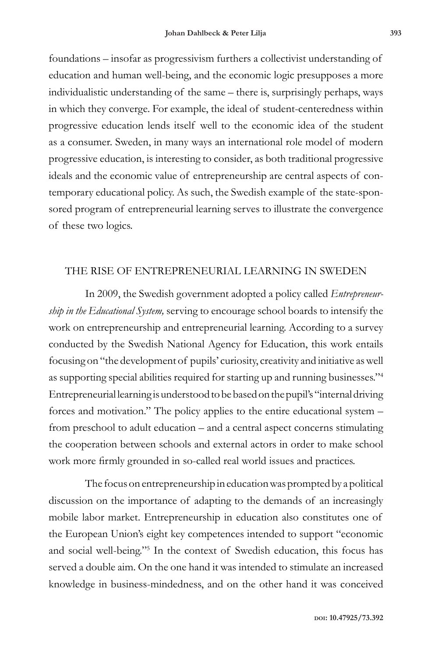foundations – insofar as progressivism furthers a collectivist understanding of education and human well-being, and the economic logic presupposes a more individualistic understanding of the same – there is, surprisingly perhaps, ways in which they converge. For example, the ideal of student-centeredness within progressive education lends itself well to the economic idea of the student as a consumer. Sweden, in many ways an international role model of modern progressive education, is interesting to consider, as both traditional progressive ideals and the economic value of entrepreneurship are central aspects of contemporary educational policy. As such, the Swedish example of the state-sponsored program of entrepreneurial learning serves to illustrate the convergence of these two logics.

#### THE RISE OF ENTREPRENEURIAL LEARNING IN SWEDEN

In 2009, the Swedish government adopted a policy called *Entrepreneurship in the Educational System,* serving to encourage school boards to intensify the work on entrepreneurship and entrepreneurial learning. According to a survey conducted by the Swedish National Agency for Education, this work entails focusing on "the development of pupils' curiosity, creativity and initiative as well as supporting special abilities required for starting up and running businesses."4 Entrepreneurial learning is understood to be based on the pupil's "internal driving forces and motivation." The policy applies to the entire educational system – from preschool to adult education – and a central aspect concerns stimulating the cooperation between schools and external actors in order to make school work more firmly grounded in so-called real world issues and practices.

The focus on entrepreneurship in education was prompted by a political discussion on the importance of adapting to the demands of an increasingly mobile labor market. Entrepreneurship in education also constitutes one of the European Union's eight key competences intended to support "economic and social well-being."5 In the context of Swedish education, this focus has served a double aim. On the one hand it was intended to stimulate an increased knowledge in business-mindedness, and on the other hand it was conceived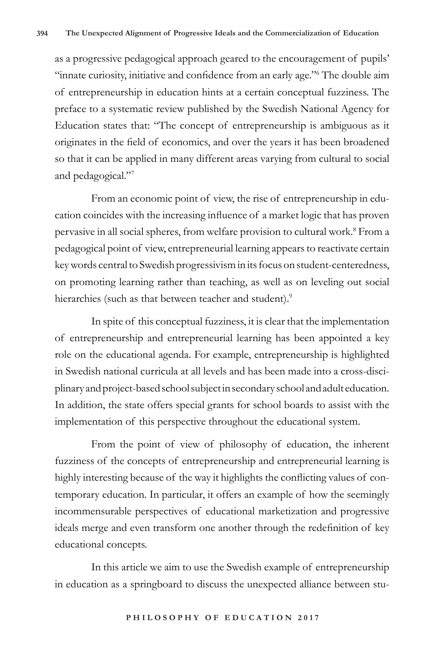as a progressive pedagogical approach geared to the encouragement of pupils' "innate curiosity, initiative and confidence from an early age."<sup>6</sup> The double aim of entrepreneurship in education hints at a certain conceptual fuzziness. The preface to a systematic review published by the Swedish National Agency for Education states that: "The concept of entrepreneurship is ambiguous as it originates in the field of economics, and over the years it has been broadened so that it can be applied in many different areas varying from cultural to social and pedagogical."7

From an economic point of view, the rise of entrepreneurship in education coincides with the increasing influence of a market logic that has proven pervasive in all social spheres, from welfare provision to cultural work.<sup>8</sup> From a pedagogical point of view, entrepreneurial learning appears to reactivate certain key words central to Swedish progressivism in its focus on student-centeredness, on promoting learning rather than teaching, as well as on leveling out social hierarchies (such as that between teacher and student).<sup>9</sup>

In spite of this conceptual fuzziness, it is clear that the implementation of entrepreneurship and entrepreneurial learning has been appointed a key role on the educational agenda. For example, entrepreneurship is highlighted in Swedish national curricula at all levels and has been made into a cross-disciplinary and project-based school subject in secondary school and adult education. In addition, the state offers special grants for school boards to assist with the implementation of this perspective throughout the educational system.

From the point of view of philosophy of education, the inherent fuzziness of the concepts of entrepreneurship and entrepreneurial learning is highly interesting because of the way it highlights the conflicting values of contemporary education. In particular, it offers an example of how the seemingly incommensurable perspectives of educational marketization and progressive ideals merge and even transform one another through the redefinition of key educational concepts.

In this article we aim to use the Swedish example of entrepreneurship in education as a springboard to discuss the unexpected alliance between stu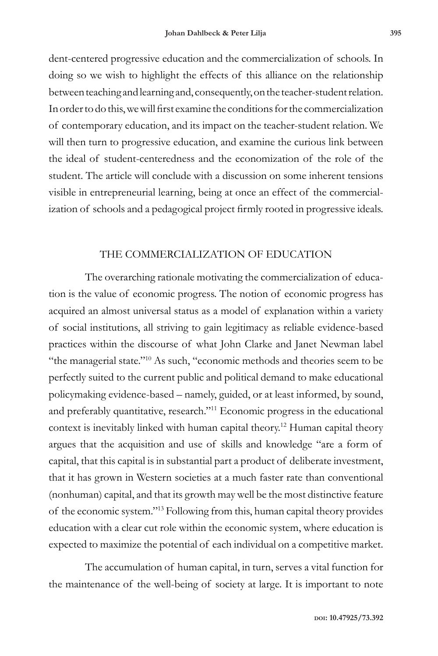dent-centered progressive education and the commercialization of schools. In doing so we wish to highlight the effects of this alliance on the relationship between teaching and learning and, consequently, on the teacher-student relation. In order to do this, we will first examine the conditions for the commercialization of contemporary education, and its impact on the teacher-student relation. We will then turn to progressive education, and examine the curious link between the ideal of student-centeredness and the economization of the role of the student. The article will conclude with a discussion on some inherent tensions visible in entrepreneurial learning, being at once an effect of the commercialization of schools and a pedagogical project firmly rooted in progressive ideals.

#### THE COMMERCIALIZATION OF EDUCATION

The overarching rationale motivating the commercialization of education is the value of economic progress. The notion of economic progress has acquired an almost universal status as a model of explanation within a variety of social institutions, all striving to gain legitimacy as reliable evidence-based practices within the discourse of what John Clarke and Janet Newman label "the managerial state."10 As such, "economic methods and theories seem to be perfectly suited to the current public and political demand to make educational policymaking evidence-based – namely, guided, or at least informed, by sound, and preferably quantitative, research."11 Economic progress in the educational context is inevitably linked with human capital theory.<sup>12</sup> Human capital theory argues that the acquisition and use of skills and knowledge "are a form of capital, that this capital is in substantial part a product of deliberate investment, that it has grown in Western societies at a much faster rate than conventional (nonhuman) capital, and that its growth may well be the most distinctive feature of the economic system."13 Following from this, human capital theory provides education with a clear cut role within the economic system, where education is expected to maximize the potential of each individual on a competitive market.

The accumulation of human capital, in turn, serves a vital function for the maintenance of the well-being of society at large. It is important to note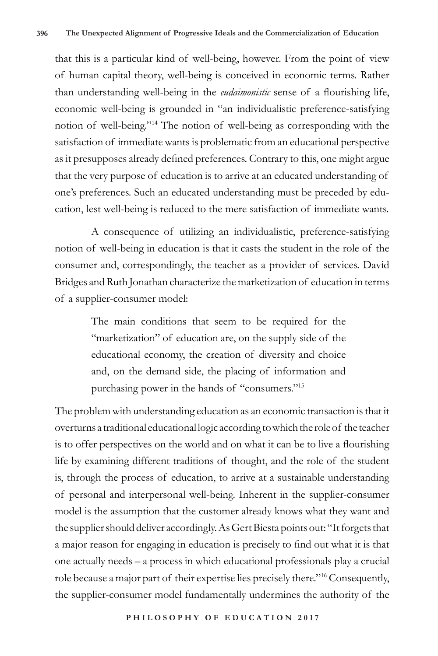that this is a particular kind of well-being, however. From the point of view of human capital theory, well-being is conceived in economic terms. Rather than understanding well-being in the *eudaimonistic* sense of a flourishing life, economic well-being is grounded in "an individualistic preference-satisfying notion of well-being."14 The notion of well-being as corresponding with the satisfaction of immediate wants is problematic from an educational perspective as it presupposes already defined preferences. Contrary to this, one might argue that the very purpose of education is to arrive at an educated understanding of one's preferences. Such an educated understanding must be preceded by education, lest well-being is reduced to the mere satisfaction of immediate wants.

A consequence of utilizing an individualistic, preference-satisfying notion of well-being in education is that it casts the student in the role of the consumer and, correspondingly, the teacher as a provider of services. David Bridges and Ruth Jonathan characterize the marketization of education in terms of a supplier-consumer model:

> The main conditions that seem to be required for the "marketization" of education are, on the supply side of the educational economy, the creation of diversity and choice and, on the demand side, the placing of information and purchasing power in the hands of "consumers."15

The problem with understanding education as an economic transaction is that it overturns a traditional educational logic according to which the role of the teacher is to offer perspectives on the world and on what it can be to live a flourishing life by examining different traditions of thought, and the role of the student is, through the process of education, to arrive at a sustainable understanding of personal and interpersonal well-being. Inherent in the supplier-consumer model is the assumption that the customer already knows what they want and the supplier should deliver accordingly. As Gert Biesta points out: "It forgets that a major reason for engaging in education is precisely to find out what it is that one actually needs – a process in which educational professionals play a crucial role because a major part of their expertise lies precisely there."16 Consequently, the supplier-consumer model fundamentally undermines the authority of the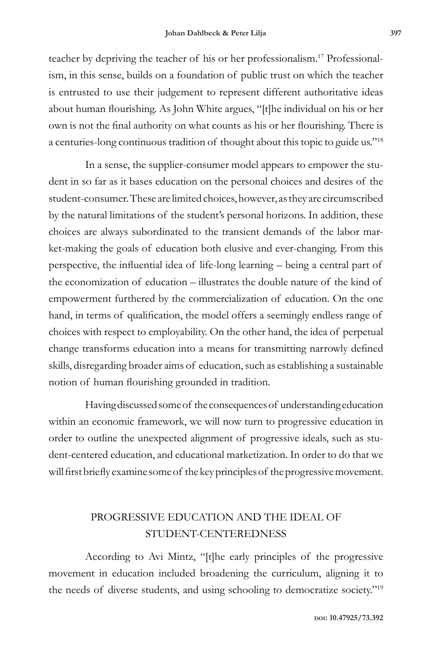teacher by depriving the teacher of his or her professionalism.17 Professionalism, in this sense, builds on a foundation of public trust on which the teacher is entrusted to use their judgement to represent different authoritative ideas about human flourishing. As John White argues, "[t]he individual on his or her own is not the final authority on what counts as his or her flourishing. There is a centuries-long continuous tradition of thought about this topic to guide us."18

In a sense, the supplier-consumer model appears to empower the student in so far as it bases education on the personal choices and desires of the student-consumer. These are limited choices, however, as they are circumscribed by the natural limitations of the student's personal horizons. In addition, these choices are always subordinated to the transient demands of the labor market-making the goals of education both elusive and ever-changing. From this perspective, the influential idea of life-long learning – being a central part of the economization of education – illustrates the double nature of the kind of empowerment furthered by the commercialization of education. On the one hand, in terms of qualification, the model offers a seemingly endless range of choices with respect to employability. On the other hand, the idea of perpetual change transforms education into a means for transmitting narrowly defined skills, disregarding broader aims of education, such as establishing a sustainable notion of human flourishing grounded in tradition.

Having discussed some of the consequences of understanding education within an economic framework, we will now turn to progressive education in order to outline the unexpected alignment of progressive ideals, such as student-centered education, and educational marketization. In order to do that we will first briefly examine some of the key principles of the progressive movement.

### PROGRESSIVE EDUCATION AND THE IDEAL OF STUDENT-CENTEREDNESS

According to Avi Mintz, "[t]he early principles of the progressive movement in education included broadening the curriculum, aligning it to the needs of diverse students, and using schooling to democratize society."19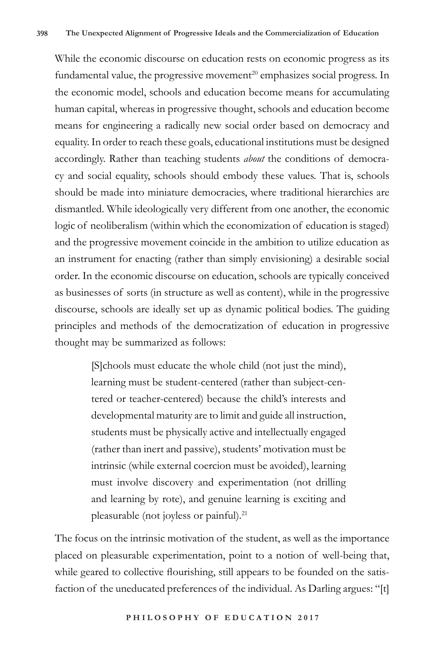While the economic discourse on education rests on economic progress as its fundamental value, the progressive movement<sup>20</sup> emphasizes social progress. In the economic model, schools and education become means for accumulating human capital, whereas in progressive thought, schools and education become means for engineering a radically new social order based on democracy and equality. In order to reach these goals, educational institutions must be designed accordingly. Rather than teaching students *about* the conditions of democracy and social equality, schools should embody these values. That is, schools should be made into miniature democracies, where traditional hierarchies are dismantled. While ideologically very different from one another, the economic logic of neoliberalism (within which the economization of education is staged) and the progressive movement coincide in the ambition to utilize education as an instrument for enacting (rather than simply envisioning) a desirable social order. In the economic discourse on education, schools are typically conceived as businesses of sorts (in structure as well as content), while in the progressive discourse, schools are ideally set up as dynamic political bodies. The guiding principles and methods of the democratization of education in progressive thought may be summarized as follows:

> [S]chools must educate the whole child (not just the mind), learning must be student-centered (rather than subject-centered or teacher-centered) because the child's interests and developmental maturity are to limit and guide all instruction, students must be physically active and intellectually engaged (rather than inert and passive), students' motivation must be intrinsic (while external coercion must be avoided), learning must involve discovery and experimentation (not drilling and learning by rote), and genuine learning is exciting and pleasurable (not joyless or painful).<sup>21</sup>

The focus on the intrinsic motivation of the student, as well as the importance placed on pleasurable experimentation, point to a notion of well-being that, while geared to collective flourishing, still appears to be founded on the satisfaction of the uneducated preferences of the individual. As Darling argues: "[t]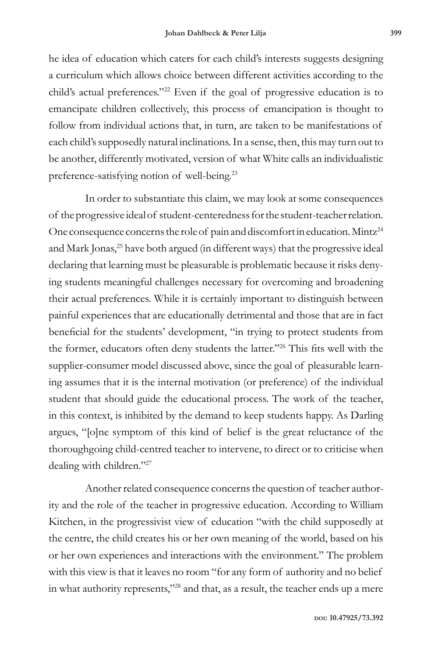he idea of education which caters for each child's interests suggests designing a curriculum which allows choice between different activities according to the child's actual preferences."22 Even if the goal of progressive education is to emancipate children collectively, this process of emancipation is thought to follow from individual actions that, in turn, are taken to be manifestations of each child's supposedly natural inclinations. In a sense, then, this may turn out to be another, differently motivated, version of what White calls an individualistic preference-satisfying notion of well-being.23

In order to substantiate this claim, we may look at some consequences of the progressive ideal of student-centeredness for the student-teacher relation. One consequence concerns the role of pain and discomfort in education. Mintz<sup>24</sup> and Mark Jonas,<sup>25</sup> have both argued (in different ways) that the progressive ideal declaring that learning must be pleasurable is problematic because it risks denying students meaningful challenges necessary for overcoming and broadening their actual preferences. While it is certainly important to distinguish between painful experiences that are educationally detrimental and those that are in fact beneficial for the students' development, "in trying to protect students from the former, educators often deny students the latter."26 This fits well with the supplier-consumer model discussed above, since the goal of pleasurable learning assumes that it is the internal motivation (or preference) of the individual student that should guide the educational process. The work of the teacher, in this context, is inhibited by the demand to keep students happy. As Darling argues, "[o]ne symptom of this kind of belief is the great reluctance of the thoroughgoing child-centred teacher to intervene, to direct or to criticise when dealing with children."27

Another related consequence concerns the question of teacher authority and the role of the teacher in progressive education. According to William Kitchen, in the progressivist view of education "with the child supposedly at the centre, the child creates his or her own meaning of the world, based on his or her own experiences and interactions with the environment." The problem with this view is that it leaves no room "for any form of authority and no belief in what authority represents,"28 and that, as a result, the teacher ends up a mere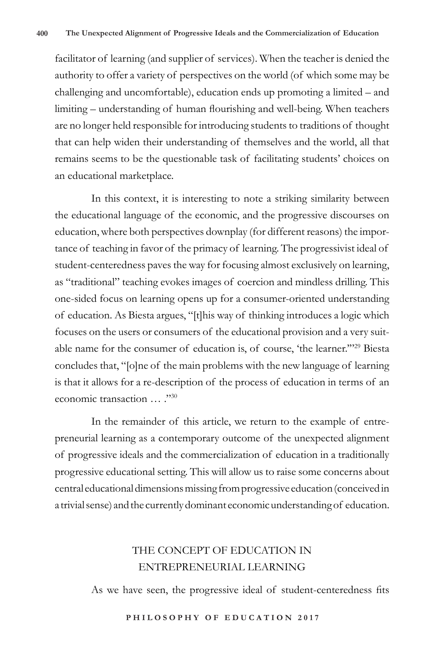facilitator of learning (and supplier of services). When the teacher is denied the authority to offer a variety of perspectives on the world (of which some may be challenging and uncomfortable), education ends up promoting a limited – and limiting – understanding of human flourishing and well-being. When teachers are no longer held responsible for introducing students to traditions of thought that can help widen their understanding of themselves and the world, all that remains seems to be the questionable task of facilitating students' choices on an educational marketplace.

In this context, it is interesting to note a striking similarity between the educational language of the economic, and the progressive discourses on education, where both perspectives downplay (for different reasons) the importance of teaching in favor of the primacy of learning. The progressivist ideal of student-centeredness paves the way for focusing almost exclusively on learning, as "traditional" teaching evokes images of coercion and mindless drilling. This one-sided focus on learning opens up for a consumer-oriented understanding of education. As Biesta argues, "[t]his way of thinking introduces a logic which focuses on the users or consumers of the educational provision and a very suitable name for the consumer of education is, of course, 'the learner.'"29 Biesta concludes that, "[o]ne of the main problems with the new language of learning is that it allows for a re-description of the process of education in terms of an economic transaction … ."30

In the remainder of this article, we return to the example of entrepreneurial learning as a contemporary outcome of the unexpected alignment of progressive ideals and the commercialization of education in a traditionally progressive educational setting. This will allow us to raise some concerns about central educational dimensions missing from progressive education (conceived in a trivial sense) and the currently dominant economic understanding of education.

## THE CONCEPT OF EDUCATION IN ENTREPRENEURIAL LEARNING

As we have seen, the progressive ideal of student-centeredness fits

**PHILOSOPHY OF EDUCATION 2017**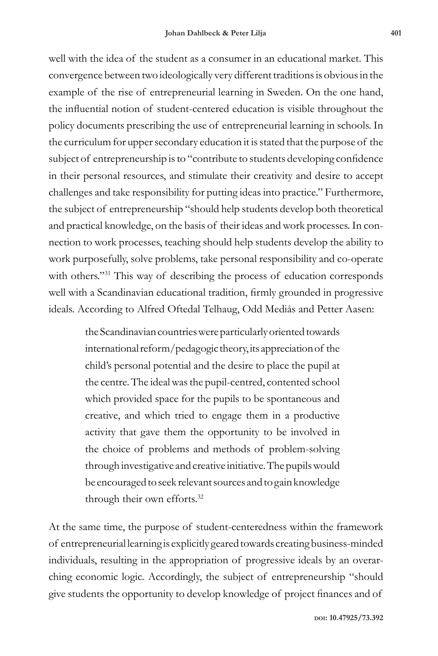well with the idea of the student as a consumer in an educational market. This convergence between two ideologically very different traditions is obvious in the example of the rise of entrepreneurial learning in Sweden. On the one hand, the influential notion of student-centered education is visible throughout the policy documents prescribing the use of entrepreneurial learning in schools. In the curriculum for upper secondary education it is stated that the purpose of the subject of entrepreneurship is to "contribute to students developing confidence in their personal resources, and stimulate their creativity and desire to accept challenges and take responsibility for putting ideas into practice." Furthermore, the subject of entrepreneurship "should help students develop both theoretical and practical knowledge, on the basis of their ideas and work processes. In connection to work processes, teaching should help students develop the ability to work purposefully, solve problems, take personal responsibility and co-operate with others."<sup>31</sup> This way of describing the process of education corresponds well with a Scandinavian educational tradition, firmly grounded in progressive ideals. According to Alfred Oftedal Telhaug, Odd Mediås and Petter Aasen:

> the Scandinavian countries were particularly oriented towards international reform/pedagogic theory, its appreciation of the child's personal potential and the desire to place the pupil at the centre. The ideal was the pupil-centred, contented school which provided space for the pupils to be spontaneous and creative, and which tried to engage them in a productive activity that gave them the opportunity to be involved in the choice of problems and methods of problem-solving through investigative and creative initiative. The pupils would be encouraged to seek relevant sources and to gain knowledge through their own efforts.32

At the same time, the purpose of student-centeredness within the framework of entrepreneurial learning is explicitly geared towards creating business-minded individuals, resulting in the appropriation of progressive ideals by an overarching economic logic. Accordingly, the subject of entrepreneurship "should give students the opportunity to develop knowledge of project finances and of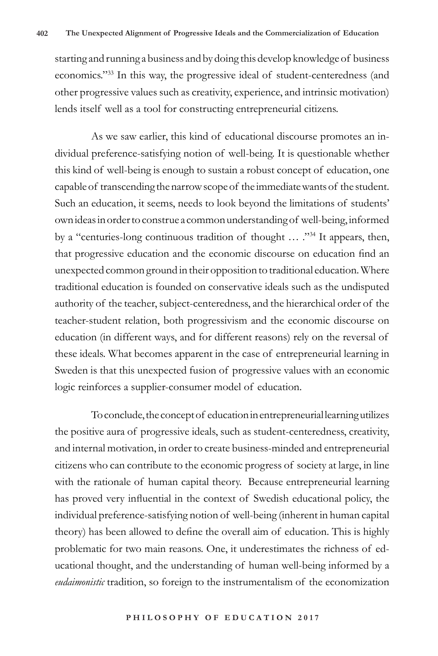starting and running a business and by doing this develop knowledge of business economics."33 In this way, the progressive ideal of student-centeredness (and other progressive values such as creativity, experience, and intrinsic motivation) lends itself well as a tool for constructing entrepreneurial citizens.

As we saw earlier, this kind of educational discourse promotes an individual preference-satisfying notion of well-being. It is questionable whether this kind of well-being is enough to sustain a robust concept of education, one capable of transcending the narrow scope of the immediate wants of the student. Such an education, it seems, needs to look beyond the limitations of students' own ideas in order to construe a common understanding of well-being, informed by a "centuries-long continuous tradition of thought … ."34 It appears, then, that progressive education and the economic discourse on education find an unexpected common ground in their opposition to traditional education. Where traditional education is founded on conservative ideals such as the undisputed authority of the teacher, subject-centeredness, and the hierarchical order of the teacher-student relation, both progressivism and the economic discourse on education (in different ways, and for different reasons) rely on the reversal of these ideals. What becomes apparent in the case of entrepreneurial learning in Sweden is that this unexpected fusion of progressive values with an economic logic reinforces a supplier-consumer model of education.

To conclude, the concept of education in entrepreneurial learning utilizes the positive aura of progressive ideals, such as student-centeredness, creativity, and internal motivation, in order to create business-minded and entrepreneurial citizens who can contribute to the economic progress of society at large, in line with the rationale of human capital theory. Because entrepreneurial learning has proved very influential in the context of Swedish educational policy, the individual preference-satisfying notion of well-being (inherent in human capital theory) has been allowed to define the overall aim of education. This is highly problematic for two main reasons. One, it underestimates the richness of educational thought, and the understanding of human well-being informed by a *eudaimonistic* tradition, so foreign to the instrumentalism of the economization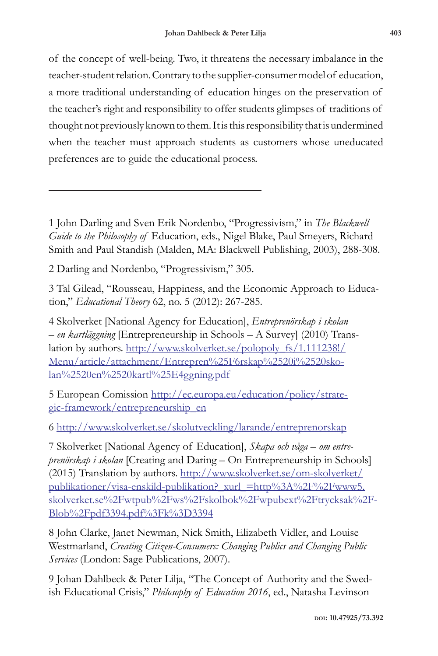of the concept of well-being. Two, it threatens the necessary imbalance in the teacher-student relation. Contrary to the supplier-consumer model of education, a more traditional understanding of education hinges on the preservation of the teacher's right and responsibility to offer students glimpses of traditions of thought not previously known to them. It is this responsibility that is undermined when the teacher must approach students as customers whose uneducated preferences are to guide the educational process.

1 John Darling and Sven Erik Nordenbo, "Progressivism," in *The Blackwell Guide to the Philosophy of* Education, eds., Nigel Blake, Paul Smeyers, Richard Smith and Paul Standish (Malden, MA: Blackwell Publishing, 2003), 288-308.

2 Darling and Nordenbo, "Progressivism," 305.

3 Tal Gilead, "Rousseau, Happiness, and the Economic Approach to Education," *Educational Theory* 62, no. 5 (2012): 267-285.

4 Skolverket [National Agency for Education], *Entreprenörskap i skolan – en kartläggning* [Entrepreneurship in Schools – A Survey] (2010) Translation by authors. http://www.skolverket.se/polopoly\_fs/1.111238!/ Menu/article/attachment/Entrepren%25F6rskap%2520i%2520skolan%2520en%2520kartl%25E4ggning.pdf

5 European Comission http://ec.europa.eu/education/policy/strategic-framework/entrepreneurship\_en

6 http://www.skolverket.se/skolutveckling/larande/entreprenorskap

7 Skolverket [National Agency of Education], *Skapa och våga – om entreprenörskap i skolan* [Creating and Daring – On Entrepreneurship in Schools] (2015) Translation by authors. http://www.skolverket.se/om-skolverket/ publikationer/visa-enskild-publikation?\_xurl\_=http%3A%2F%2Fwww5. skolverket.se%2Fwtpub%2Fws%2Fskolbok%2Fwpubext%2Ftrycksak%2F-Blob%2Fpdf3394.pdf%3Fk%3D3394

8 John Clarke, Janet Newman, Nick Smith, Elizabeth Vidler, and Louise Westmarland, *Creating Citizen-Consumers: Changing Publics and Changing Public Services* (London: Sage Publications, 2007).

9 Johan Dahlbeck & Peter Lilja, "The Concept of Authority and the Swedish Educational Crisis," *Philosophy of Education 2016*, ed., Natasha Levinson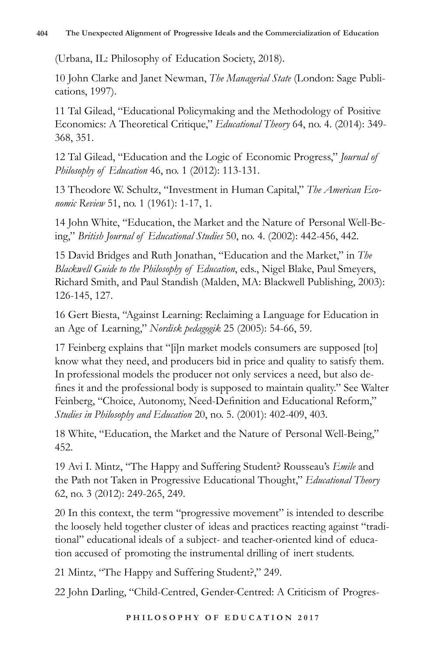(Urbana, IL: Philosophy of Education Society, 2018).

10 John Clarke and Janet Newman, *The Managerial State* (London: Sage Publications, 1997).

11 Tal Gilead, "Educational Policymaking and the Methodology of Positive Economics: A Theoretical Critique," *Educational Theory* 64, no. 4. (2014): 349- 368, 351.

12 Tal Gilead, "Education and the Logic of Economic Progress," *Journal of Philosophy of Education* 46, no. 1 (2012): 113-131.

13 Theodore W. Schultz, "Investment in Human Capital," *The American Economic Review* 51, no. 1 (1961): 1-17, 1.

14 John White, "Education, the Market and the Nature of Personal Well-Being," *British Journal of Educational Studies* 50, no. 4. (2002): 442-456, 442.

15 David Bridges and Ruth Jonathan, "Education and the Market," in *The Blackwell Guide to the Philosophy of Education*, eds., Nigel Blake, Paul Smeyers, Richard Smith, and Paul Standish (Malden, MA: Blackwell Publishing, 2003): 126-145, 127.

16 Gert Biesta, "Against Learning: Reclaiming a Language for Education in an Age of Learning," *Nordisk pedagogik* 25 (2005): 54-66, 59.

17 Feinberg explains that "[i]n market models consumers are supposed [to] know what they need, and producers bid in price and quality to satisfy them. In professional models the producer not only services a need, but also defines it and the professional body is supposed to maintain quality." See Walter Feinberg, "Choice, Autonomy, Need-Definition and Educational Reform," *Studies in Philosophy and Education* 20, no. 5. (2001): 402-409, 403.

18 White, "Education, the Market and the Nature of Personal Well-Being," 452.

19 Avi I. Mintz, "The Happy and Suffering Student? Rousseau's *Emile* and the Path not Taken in Progressive Educational Thought," *Educational Theory*  62, no. 3 (2012): 249-265, 249.

20 In this context, the term "progressive movement" is intended to describe the loosely held together cluster of ideas and practices reacting against "traditional" educational ideals of a subject- and teacher-oriented kind of education accused of promoting the instrumental drilling of inert students.

21 Mintz, "The Happy and Suffering Student?," 249.

22 John Darling, "Child-Centred, Gender-Centred: A Criticism of Progres-